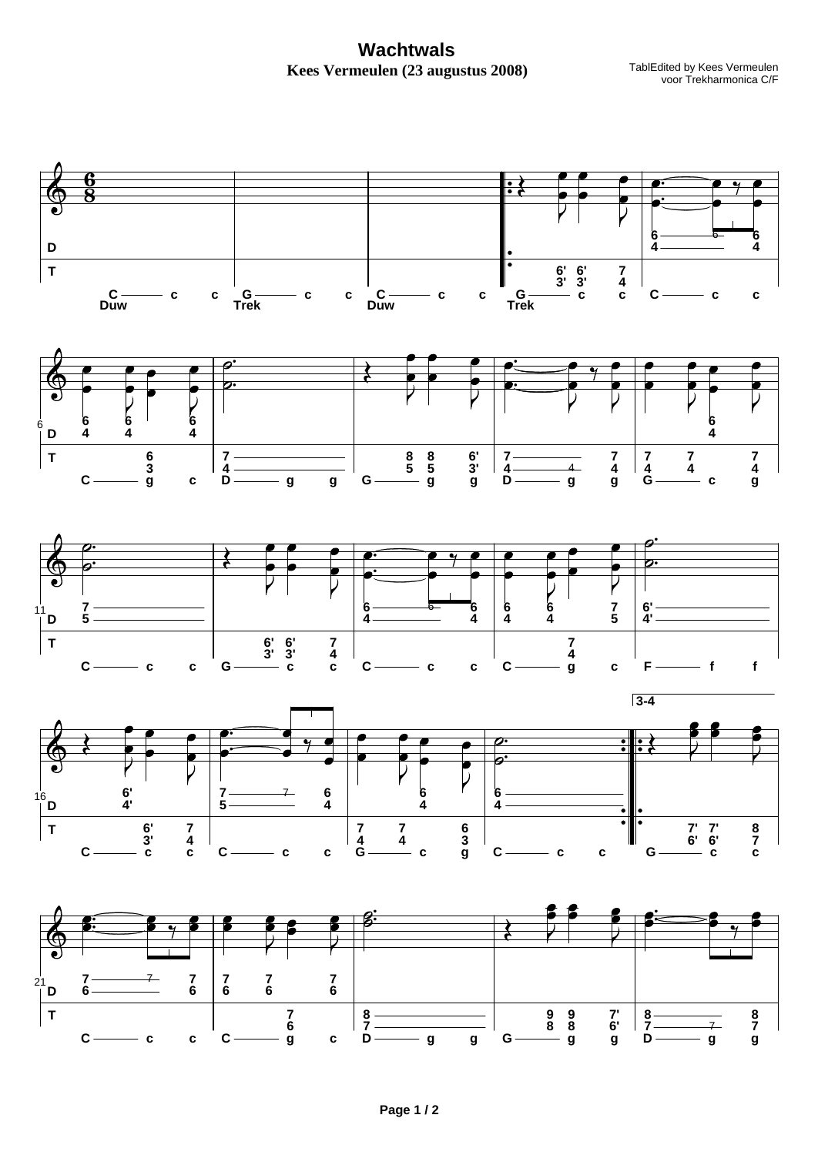**Wachtwals** Kees Vermeulen (23 augustus 2008)